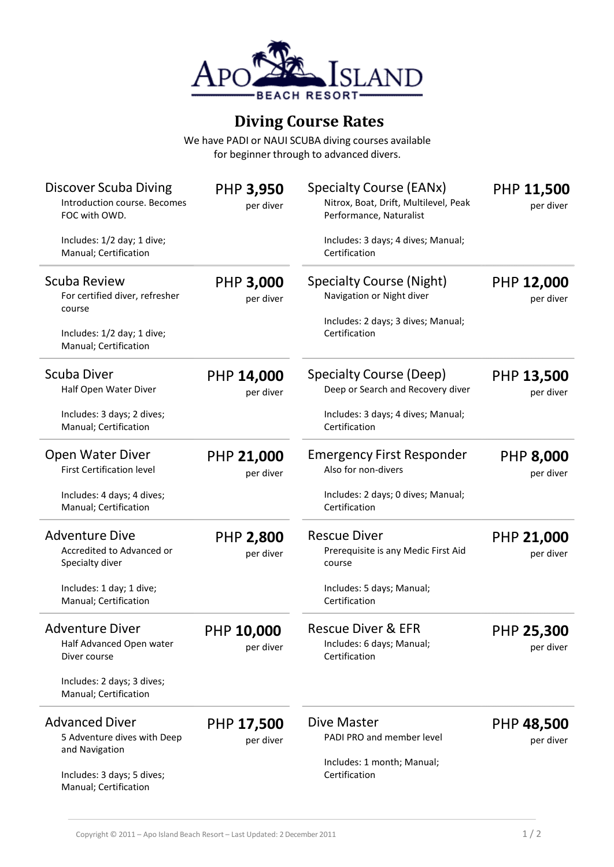

## **Diving Course Rates**

We have PADI or NAUI SCUBA diving courses available for beginner through to advanced divers.

| Discover Scuba Diving<br>Introduction course. Becomes<br>FOC with OWD.<br>Includes: 1/2 day; 1 dive;<br>Manual; Certification | <b>PHP 3,950</b><br>per diver | Specialty Course (EANx)<br>Nitrox, Boat, Drift, Multilevel, Peak<br>Performance, Naturalist<br>Includes: 3 days; 4 dives; Manual;<br>Certification | PHP 11,500<br>per diver        |
|-------------------------------------------------------------------------------------------------------------------------------|-------------------------------|----------------------------------------------------------------------------------------------------------------------------------------------------|--------------------------------|
| Scuba Review<br>For certified diver, refresher<br>course<br>Includes: 1/2 day; 1 dive;<br>Manual; Certification               | <b>PHP 3,000</b><br>per diver | <b>Specialty Course (Night)</b><br>Navigation or Night diver<br>Includes: 2 days; 3 dives; Manual;<br>Certification                                | PHP 12,000<br>per diver        |
| <b>Scuba Diver</b><br>Half Open Water Diver<br>Includes: 3 days; 2 dives;<br>Manual; Certification                            | PHP 14,000<br>per diver       | Specialty Course (Deep)<br>Deep or Search and Recovery diver<br>Includes: 3 days; 4 dives; Manual;<br>Certification                                | PHP 13,500<br>per diver        |
| <b>Open Water Diver</b><br><b>First Certification level</b><br>Includes: 4 days; 4 dives;<br>Manual; Certification            | PHP 21,000<br>per diver       | <b>Emergency First Responder</b><br>Also for non-divers<br>Includes: 2 days; 0 dives; Manual;<br>Certification                                     | <b>PHP 8,000</b><br>per diver  |
| <b>Adventure Dive</b><br>Accredited to Advanced or<br>Specialty diver<br>Includes: 1 day; 1 dive;<br>Manual; Certification    | <b>PHP 2,800</b><br>per diver | <b>Rescue Diver</b><br>Prerequisite is any Medic First Aid<br>course<br>Includes: 5 days; Manual;<br>Certification                                 | <b>PHP 21,000</b><br>per diver |
| <b>Adventure Diver</b><br>Half Advanced Open water<br>Diver course<br>Includes: 2 days; 3 dives;<br>Manual; Certification     | PHP 10,000<br>per diver       | <b>Rescue Diver &amp; EFR</b><br>Includes: 6 days; Manual;<br>Certification                                                                        | PHP 25,300<br>per diver        |
| <b>Advanced Diver</b><br>5 Adventure dives with Deep<br>and Navigation<br>Includes: 3 days; 5 dives;<br>Manual; Certification | PHP 17,500<br>per diver       | Dive Master<br>PADI PRO and member level<br>Includes: 1 month; Manual;<br>Certification                                                            | PHP 48,500<br>per diver        |